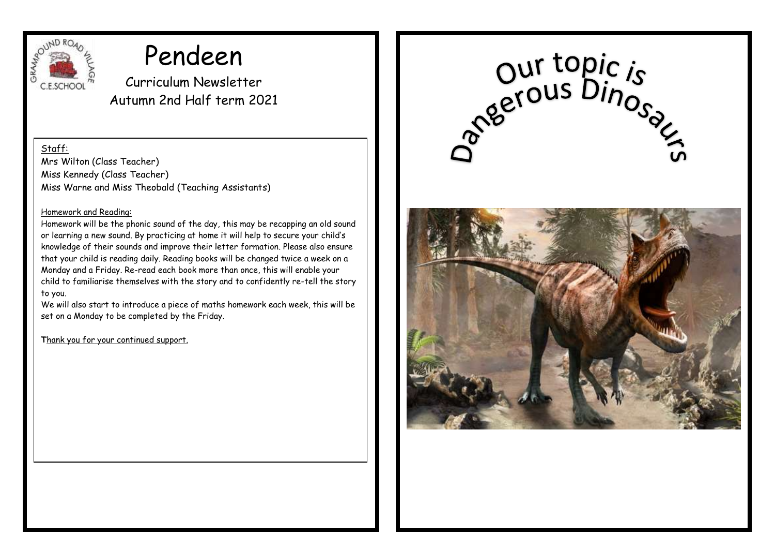

# Pendeen

Curriculum Newsletter Autumn 2nd Half term 2021

Staff:

Mrs Wilton (Class Teacher) Miss Kennedy (Class Teacher) Miss Warne and Miss Theobald (Teaching Assistants)

#### Homework and Reading:

Homework will be the phonic sound of the day, this may be recapping an old sound or learning a new sound. By practicing at home it will help to secure your child's knowledge of their sounds and improve their letter formation. Please also ensure that your child is reading daily. Reading books will be changed twice a week on a Monday and a Friday. Re-read each book more than once, this will enable your child to familiarise themselves with the story and to confidently re-tell the story to you.

We will also start to introduce a piece of maths homework each week, this will be set on a Monday to be completed by the Friday.

**T**hank you for your continued support.